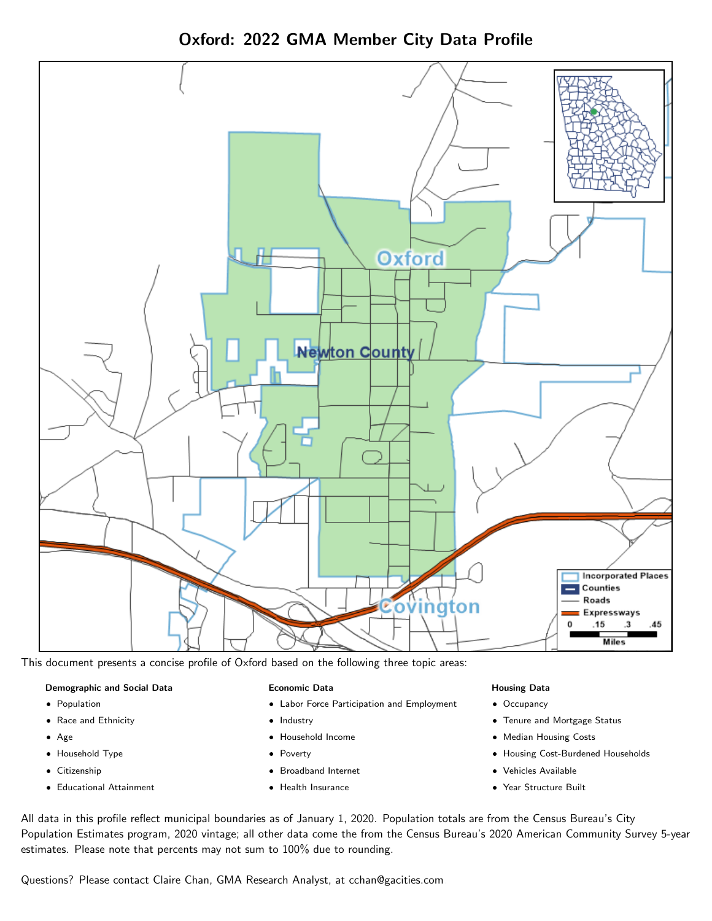

Oxford: 2022 GMA Member City Data Profile

This document presents a concise profile of Oxford based on the following three topic areas:

### Demographic and Social Data

- **•** Population
- Race and Ethnicity
- Age
- Household Type
- **Citizenship**
- Educational Attainment

#### Economic Data

- Labor Force Participation and Employment
- Industry
- Household Income
- Poverty
- Broadband Internet
- Health Insurance

#### Housing Data

- Occupancy
- Tenure and Mortgage Status
- Median Housing Costs
- Housing Cost-Burdened Households
- Vehicles Available
- Year Structure Built

All data in this profile reflect municipal boundaries as of January 1, 2020. Population totals are from the Census Bureau's City Population Estimates program, 2020 vintage; all other data come the from the Census Bureau's 2020 American Community Survey 5-year estimates. Please note that percents may not sum to 100% due to rounding.

Questions? Please contact Claire Chan, GMA Research Analyst, at [cchan@gacities.com.](mailto:cchan@gacities.com)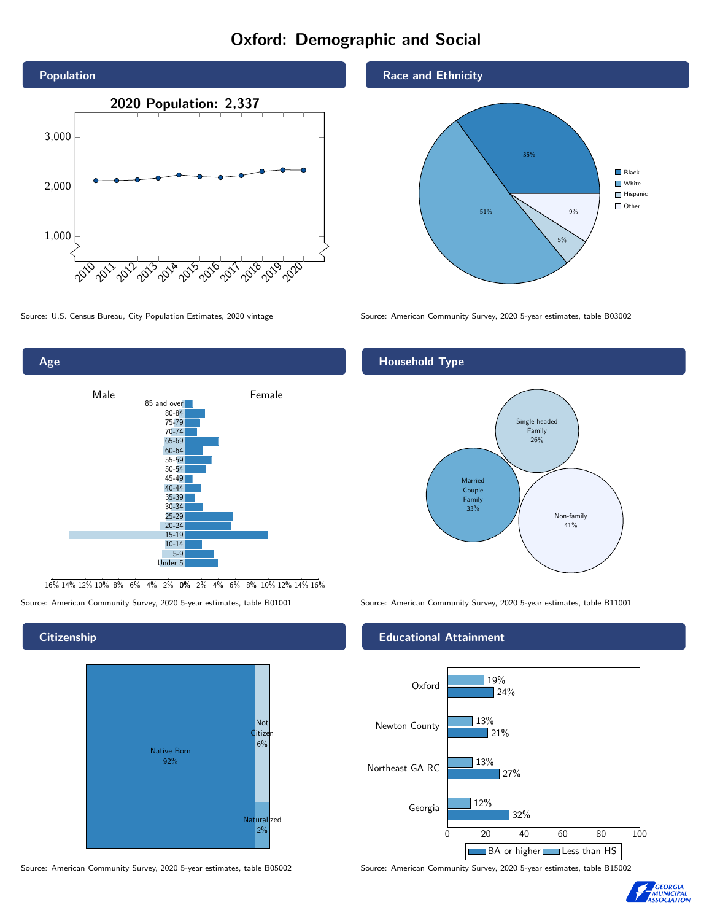# Oxford: Demographic and Social





16% 14% 12% 10% 8% 6% 4% 2% 0% 2% 4% 6% 8% 10% 12% 14% 16%

Source: American Community Survey, 2020 5-year estimates, table B01001 Source: American Community Survey, 2020 5-year estimates, table B11001

#### **Citizenship**



Source: American Community Survey, 2020 5-year estimates, table B05002 Source: American Community Survey, 2020 5-year estimates, table B15002

#### Race and Ethnicity



Source: U.S. Census Bureau, City Population Estimates, 2020 vintage Source: American Community Survey, 2020 5-year estimates, table B03002

## Household Type



#### Educational Attainment



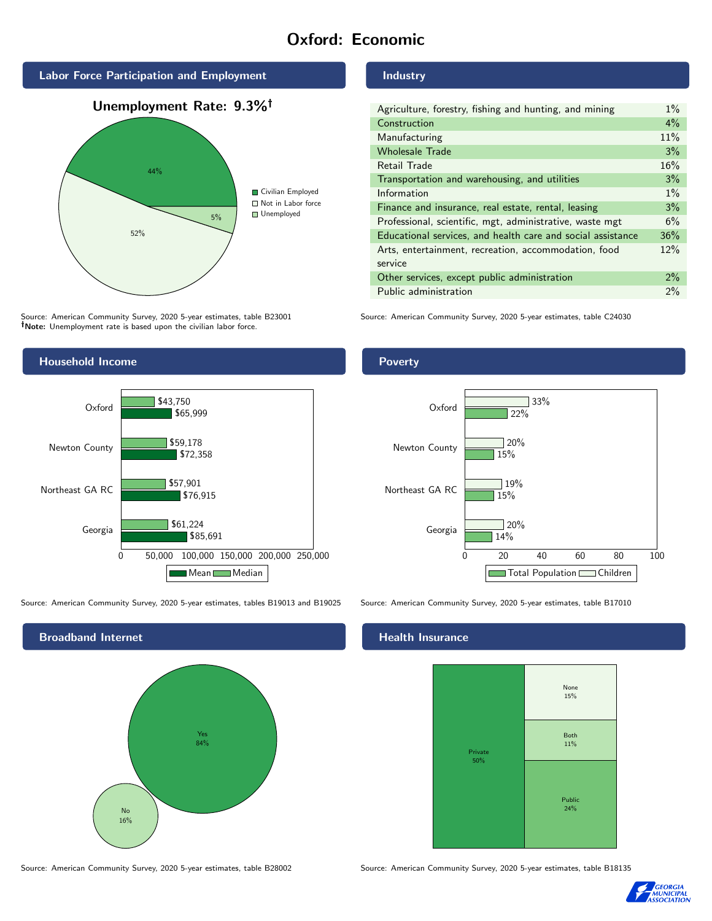# Oxford: Economic



Source: American Community Survey, 2020 5-year estimates, table B23001 Note: Unemployment rate is based upon the civilian labor force.

#### Industry

| Agriculture, forestry, fishing and hunting, and mining      | $1\%$ |
|-------------------------------------------------------------|-------|
| Construction                                                | $4\%$ |
| Manufacturing                                               | 11%   |
| <b>Wholesale Trade</b>                                      | 3%    |
| Retail Trade                                                | 16%   |
| Transportation and warehousing, and utilities               | 3%    |
| Information                                                 | $1\%$ |
| Finance and insurance, real estate, rental, leasing         | 3%    |
| Professional, scientific, mgt, administrative, waste mgt    | 6%    |
| Educational services, and health care and social assistance | 36%   |
| Arts, entertainment, recreation, accommodation, food        | 12%   |
| service                                                     |       |
| Other services, except public administration                | $2\%$ |
| Public administration                                       | 2%    |

Source: American Community Survey, 2020 5-year estimates, table C24030



Source: American Community Survey, 2020 5-year estimates, tables B19013 and B19025 Source: American Community Survey, 2020 5-year estimates, table B17010



#### Poverty



## **Health Insurance**



Source: American Community Survey, 2020 5-year estimates, table B28002 Source: American Community Survey, 2020 5-year estimates, table B18135